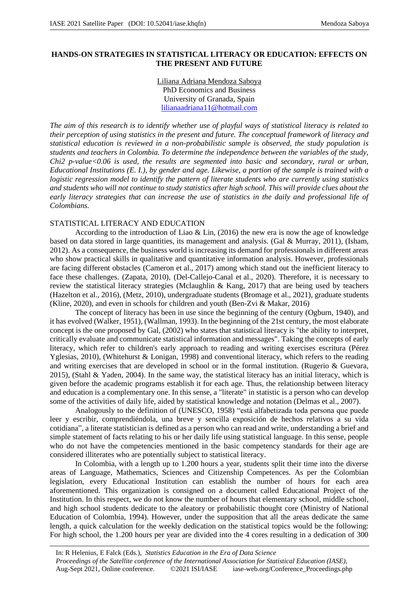# **HANDS-ON STRATEGIES IN STATISTICAL LITERACY OR EDUCATION: EFFECTS ON THE PRESENT AND FUTURE**

Liliana Adriana Mendoza Saboya PhD Economics and Business University of Granada, Spain lilianaadriana11@hotmail.com

*The aim of this research is to identify whether use of playful ways of statistical literacy is related to their perception of using statistics in the present and future. The conceptual framework of literacy and statistical education is reviewed in a non-probabilistic sample is observed, the study population is students and teachers in Colombia. To determine the independence between the variables of the study, Chi2 p-value<0.06 is used, the results are segmented into basic and secondary, rural or urban, Educational Institutions (E. I.), by gender and age. Likewise, a portion of the sample is trained with a logistic regression model to identify the pattern of literate students who are currently using statistics and students who will not continue to study statistics after high school. This will provide clues about the early literacy strategies that can increase the use of statistics in the daily and professional life of Colombians.*

# STATISTICAL LITERACY AND EDUCATION

According to the introduction of Liao & Lin,  $(2016)$  the new era is now the age of knowledge based on data stored in large quantities, its management and analysis. (Gal & Murray, 2011), (Isham, 2012). As a consequence, the business world is increasing its demand for professionals in different areas who show practical skills in qualitative and quantitative information analysis. However, professionals are facing different obstacles (Cameron et al., 2017) among which stand out the inefficient literacy to face these challenges. (Zapata, 2010), (Del-Callejo-Canal et al., 2020). Therefore, it is necessary to review the statistical literacy strategies (Mclaughlin & Kang, 2017) that are being used by teachers (Hazelton et al., 2016), (Metz, 2010), undergraduate students (Bromage et al., 2021), graduate students (Kline, 2020), and even in schools for children and youth (Ben-Zvi & Makar, 2016)

The concept of literacy has been in use since the beginning of the century (Ogburn, 1940), and it has evolved (Walker, 1951), (Wallman, 1993). In the beginning of the 21st century, the most elaborate concept is the one proposed by Gal, (2002) who states that statistical literacy is "the ability to interpret, critically evaluate and communicate statistical information and messages". Taking the concepts of early literacy, which refer to children's early approach to reading and writing exercises escritura (Pérez Yglesias, 2010), (Whitehurst & Lonigan, 1998) and conventional literacy, which refers to the reading and writing exercises that are developed in school or in the formal institution. (Rugerio & Guevara, 2015), (Stahl & Yaden, 2004). In the same way, the statistical literacy has an initial literacy, which is given before the academic programs establish it for each age. Thus, the relationship between literacy and education is a complementary one. In this sense, a "literate" in statistic is a person who can develop some of the activities of daily life, aided by statistical knowledge and notation (Delmas et al., 2007).

Analogously to the definition of (UNESCO, 1958) "está alfabetizada toda persona que puede leer y escribir, comprendiéndola, una breve y sencilla exposición de hechos relativos a su vida cotidiana", a literate statistician is defined as a person who can read and write, understanding a brief and simple statement of facts relating to his or her daily life using statistical language. In this sense, people who do not have the competencies mentioned in the basic competency standards for their age are considered illiterates who are potentially subject to statistical literacy.

In Colombia, with a length up to 1.200 hours a year, students split their time into the diverse areas of Language, Mathematics, Sciences and Citizenship Competences. As per the Colombian legislation, every Educational Institution can establish the number of hours for each area aforementioned. This organization is consigned on a document called Educational Project of the Institution. In this respect, we do not know the number of hours that elementary school, middle school, and high school students dedicate to the aleatory or probabilistic thought core (Ministry of National Education of Colombia, 1994). However, under the supposition that all the areas dedicate the same length, a quick calculation for the weekly dedication on the statistical topics would be the following: For high school, the 1.200 hours per year are divided into the 4 cores resulting in a dedication of 300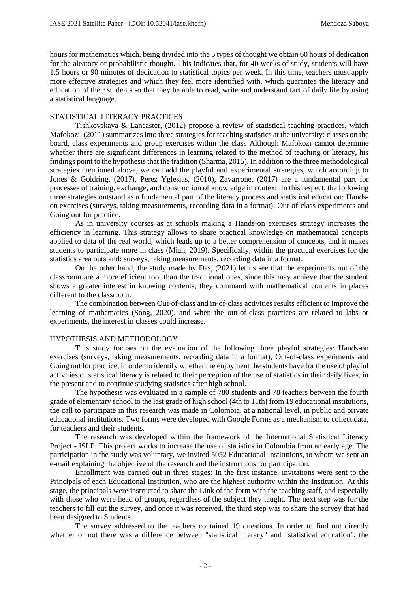hours for mathematics which, being divided into the 5 types of thought we obtain 60 hours of dedication for the aleatory or probabilistic thought. This indicates that, for 40 weeks of study, students will have 1.5 hours or 90 minutes of dedication to statistical topics per week. In this time, teachers must apply more effective strategies and which they feel more identified with, which guarantee the literacy and education of their students so that they be able to read, write and understand fact of daily life by using a statistical language.

#### STATISTICAL LITERACY PRACTICES

Tishkovskaya & Lancaster, (2012) propose a review of statistical teaching practices, which Mafokozi, (2011) summarizes into three strategies for teaching statistics at the university: classes on the board, class experiments and group exercises within the class Although Mafokozi cannot determine whether there are significant differences in learning related to the method of teaching or literacy, his findings point to the hypothesis that the tradition (Sharma, 2015). In addition to the three methodological strategies mentioned above, we can add the playful and experimental strategies, which according to Jones & Goldring, (2017), Pérez Yglesias, (2010), Zavarrone, (2017) are a fundamental part for processes of training, exchange, and construction of knowledge in context. In this respect, the following three strategies outstand as a fundamental part of the literacy process and statistical education: Handson exercises (surveys, taking measurements, recording data in a format); Out-of-class experiments and Going out for practice.

As in university courses as at schools making a Hands-on exercises strategy increases the efficiency in learning. This strategy allows to share practical knowledge on mathematical concepts applied to data of the real world, which leads up to a better comprehension of concepts, and it makes students to participate more in class (Miah, 2019). Specifically, within the practical exercises for the statistics area outstand: surveys, taking measurements, recording data in a format.

On the other hand, the study made by Das, (2021) let us see that the experiments out of the classroom are a more efficient tool than the traditional ones, since this may achieve that the student shows a greater interest in knowing contents, they command with mathematical contents in places different to the classroom.

The combination between Out-of-class and in-of-class activities results efficient to improve the learning of mathematics (Song, 2020), and when the out-of-class practices are related to labs or experiments, the interest in classes could increase.

#### HYPOTHESIS AND METHODOLOGY

This study focuses on the evaluation of the following three playful strategies: Hands-on exercises (surveys, taking measurements, recording data in a format); Out-of-class experiments and Going out for practice, in order to identify whether the enjoyment the students have for the use of playful activities of statistical literacy is related to their perception of the use of statistics in their daily lives, in the present and to continue studying statistics after high school.

The hypothesis was evaluated in a sample of 780 students and 78 teachers between the fourth grade of elementary school to the last grade of high school (4th to 11th) from 19 educational institutions, the call to participate in this research was made in Colombia, at a national level, in public and private educational institutions. Two forms were developed with Google Forms as a mechanism to collect data, for teachers and their students.

The research was developed within the framework of the International Statistical Literacy Project - ISLP. This project works to increase the use of statistics in Colombia from an early age. The participation in the study was voluntary, we invited 5052 Educational Institutions, to whom we sent an e-mail explaining the objective of the research and the instructions for participation.

Enrollment was carried out in three stages: In the first instance, invitations were sent to the Principals of each Educational Institution, who are the highest authority within the Institution. At this stage, the principals were instructed to share the Link of the form with the teaching staff, and especially with those who were head of groups, regardless of the subject they taught. The next step was for the teachers to fill out the survey, and once it was received, the third step was to share the survey that had been designed to Students.

The survey addressed to the teachers contained 19 questions. In order to find out directly whether or not there was a difference between "statistical literacy" and "statistical education", the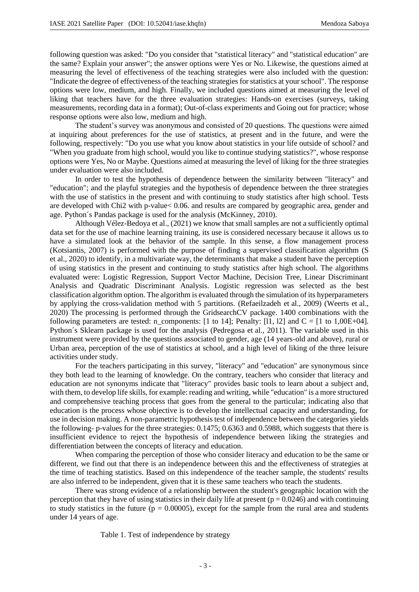following question was asked: "Do you consider that "statistical literacy" and "statistical education" are the same? Explain your answer"; the answer options were Yes or No. Likewise, the questions aimed at measuring the level of effectiveness of the teaching strategies were also included with the question: "Indicate the degree of effectiveness of the teaching strategies for statistics at your school". The response options were low, medium, and high. Finally, we included questions aimed at measuring the level of liking that teachers have for the three evaluation strategies: Hands-on exercises (surveys, taking measurements, recording data in a format); Out-of-class experiments and Going out for practice; whose response options were also low, medium and high.

The student's survey was anonymous and consisted of 20 questions. The questions were aimed at inquiring about preferences for the use of statistics, at present and in the future, and were the following, respectively: "Do you use what you know about statistics in your life outside of school? and "When you graduate from high school, would you like to continue studying statistics?", whose response options were Yes, No or Maybe. Questions aimed at measuring the level of liking for the three strategies under evaluation were also included.

In order to test the hypothesis of dependence between the similarity between "literacy" and "education"; and the playful strategies and the hypothesis of dependence between the three strategies with the use of statistics in the present and with continuing to study statistics after high school. Tests are developed with Chi2 with p-value< 0.06. and results are compared by geographic area, gender and age. Python´s Pandas package is used for the analysis (McKinney, 2010).

Although Vélez-Bedoya et al., (2021) we know that small samples are not a sufficiently optimal data set for the use of machine learning training, its use is considered necessary because it allows us to have a simulated look at the behavior of the sample. In this sense, a flow management process (Kotsiantis, 2007) is performed with the purpose of finding a supervised classification algorithm (S et al., 2020) to identify, in a multivariate way, the determinants that make a student have the perception of using statistics in the present and continuing to study statistics after high school. The algorithms evaluated were: Logistic Regression, Support Vector Machine, Decision Tree, Linear Discriminant Analysis and Quadratic Discriminant Analysis. Logistic regression was selected as the best classification algorithm option. The algorithm is evaluated through the simulation of its hyperparameters by applying the cross-validation method with 5 partitions. (Refaeilzadeh et al., 2009) (Weerts et al., 2020) The processing is performed through the GridsearchCV package. 1400 combinations with the following parameters are tested: n\_components:  $[1 \text{ to } 14]$ ; Penalty:  $[11, 12]$  and  $C = [1 \text{ to } 1,00E+04]$ . Python´s Sklearn package is used for the analysis (Pedregosa et al., 2011). The variable used in this instrument were provided by the questions associated to gender, age (14 years-old and above), rural or Urban area, perception of the use of statistics at school, and a high level of liking of the three leisure activities under study.

For the teachers participating in this survey, "literacy" and "education" are synonymous since they both lead to the learning of knowledge. On the contrary, teachers who consider that literacy and education are not synonyms indicate that "literacy" provides basic tools to learn about a subject and, with them, to develop life skills, for example: reading and writing, while "education" is a more structured and comprehensive teaching process that goes from the general to the particular; indicating also that education is the process whose objective is to develop the intellectual capacity and understanding, for use in decision making. A non-parametric hypothesis test of independence between the categories yields the following- p-values for the three strategies: 0.1475; 0.6363 and 0.5988, which suggests that there is insufficient evidence to reject the hypothesis of independence between liking the strategies and differentiation between the concepts of literacy and education.

When comparing the perception of those who consider literacy and education to be the same or different, we find out that there is an independence between this and the effectiveness of strategies at the time of teaching statistics. Based on this independence of the teacher sample, the students' results are also inferred to be independent, given that it is these same teachers who teach the students.

There was strong evidence of a relationship between the student's geographic location with the perception that they have of using statistics in their daily life at present ( $p = 0.0246$ ) and with continuing to study statistics in the future ( $p = 0.00005$ ), except for the sample from the rural area and students under 14 years of age.

Table 1. Test of independence by strategy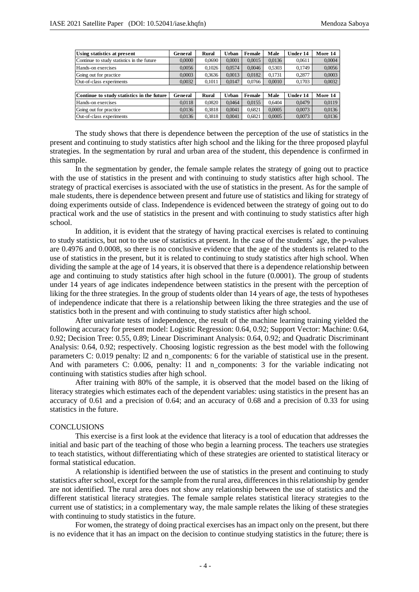| Using statistics at present                | General | Rural  | Urban  | Female | Male   | Under 14 | More 14 |
|--------------------------------------------|---------|--------|--------|--------|--------|----------|---------|
| Continue to study statistics in the future | 0.0000  | 0.0690 | 0.0001 | 0.0015 | 0.0136 | 0.0611   | 0.0004  |
| Hands-on exercises                         | 0.0056  | 0.1026 | 0.0574 | 0.0046 | 0.5303 | 0.1749   | 0.0056  |
| Going out for practice                     | 0.0003  | 0.3636 | 0.0013 | 0.0182 | 0.1731 | 0.2877   | 0,0003  |
| Out-of-class experiments                   | 0.0032  | 0,1011 | 0.0147 | 0.0766 | 0.0010 | 0,1703   | 0.0032  |
|                                            |         |        |        |        |        |          |         |
| Continue to study statistics in the future | General | Rural  | Urban  | Female | Male   | Under 14 | More 14 |
| Hands-on exercises                         | 0.0118  | 0.0820 | 0.0464 | 0.0155 | 0.6404 | 0.0479   | 0.0119  |
| Going out for practice                     | 0.0136  | 0.3818 | 0.0041 | 0.6821 | 0.0005 | 0.0073   | 0.0136  |
| Out-of-class experiments                   | 0.0136  | 0.3818 | 0.0041 | 0.6821 | 0.0005 | 0.0073   | 0.0136  |

The study shows that there is dependence between the perception of the use of statistics in the present and continuing to study statistics after high school and the liking for the three proposed playful strategies. In the segmentation by rural and urban area of the student, this dependence is confirmed in this sample.

In the segmentation by gender, the female sample relates the strategy of going out to practice with the use of statistics in the present and with continuing to study statistics after high school. The strategy of practical exercises is associated with the use of statistics in the present. As for the sample of male students, there is dependence between present and future use of statistics and liking for strategy of doing experiments outside of class. Independence is evidenced between the strategy of going out to do practical work and the use of statistics in the present and with continuing to study statistics after high school.

In addition, it is evident that the strategy of having practical exercises is related to continuing to study statistics, but not to the use of statistics at present. In the case of the students´ age, the p-values are 0.4976 and 0.0008, so there is no conclusive evidence that the age of the students is related to the use of statistics in the present, but it is related to continuing to study statistics after high school. When dividing the sample at the age of 14 years, it is observed that there is a dependence relationship between age and continuing to study statistics after high school in the future (0.0001). The group of students under 14 years of age indicates independence between statistics in the present with the perception of liking for the three strategies. In the group of students older than 14 years of age, the tests of hypotheses of independence indicate that there is a relationship between liking the three strategies and the use of statistics both in the present and with continuing to study statistics after high school.

After univariate tests of independence, the result of the machine learning training yielded the following accuracy for present model: Logistic Regression: 0.64, 0.92; Support Vector: Machine: 0.64, 0.92; Decision Tree: 0.55, 0.89; Linear Discriminant Analysis: 0.64, 0.92; and Quadratic Discriminant Analysis: 0.64, 0.92; respectively. Choosing logistic regression as the best model with the following parameters C: 0.019 penalty: l2 and n\_components: 6 for the variable of statistical use in the present. And with parameters C: 0.006, penalty: 11 and n\_components: 3 for the variable indicating not continuing with statistics studies after high school.

After training with 80% of the sample, it is observed that the model based on the liking of literacy strategies which estimates each of the dependent variables: using statistics in the present has an accuracy of 0.61 and a precision of 0.64; and an accuracy of 0.68 and a precision of 0.33 for using statistics in the future.

### **CONCLUSIONS**

This exercise is a first look at the evidence that literacy is a tool of education that addresses the initial and basic part of the teaching of those who begin a learning process. The teachers use strategies to teach statistics, without differentiating which of these strategies are oriented to statistical literacy or formal statistical education.

A relationship is identified between the use of statistics in the present and continuing to study statistics after school, except for the sample from the rural area, differences in this relationship by gender are not identified. The rural area does not show any relationship between the use of statistics and the different statistical literacy strategies. The female sample relates statistical literacy strategies to the current use of statistics; in a complementary way, the male sample relates the liking of these strategies with continuing to study statistics in the future.

For women, the strategy of doing practical exercises has an impact only on the present, but there is no evidence that it has an impact on the decision to continue studying statistics in the future; there is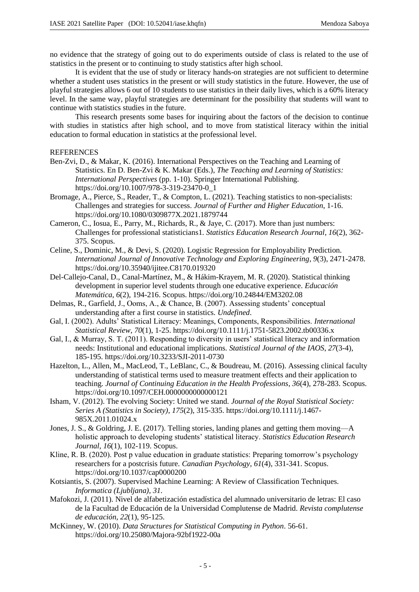no evidence that the strategy of going out to do experiments outside of class is related to the use of statistics in the present or to continuing to study statistics after high school.

It is evident that the use of study or literacy hands-on strategies are not sufficient to determine whether a student uses statistics in the present or will study statistics in the future. However, the use of playful strategies allows 6 out of 10 students to use statistics in their daily lives, which is a 60% literacy level. In the same way, playful strategies are determinant for the possibility that students will want to continue with statistics studies in the future.

This research presents some bases for inquiring about the factors of the decision to continue with studies in statistics after high school, and to move from statistical literacy within the initial education to formal education in statistics at the professional level.

### **REFERENCES**

- Ben-Zvi, D., & Makar, K. (2016). International Perspectives on the Teaching and Learning of Statistics. En D. Ben-Zvi & K. Makar (Eds.), *The Teaching and Learning of Statistics: International Perspectives* (pp. 1-10). Springer International Publishing. https://doi.org/10.1007/978-3-319-23470-0\_1
- Bromage, A., Pierce, S., Reader, T., & Compton, L. (2021). Teaching statistics to non-specialists: Challenges and strategies for success. *Journal of Further and Higher Education*, 1-16. https://doi.org/10.1080/0309877X.2021.1879744
- Cameron, C., Iosua, E., Parry, M., Richards, R., & Jaye, C. (2017). More than just numbers: Challenges for professional statisticians1. *Statistics Education Research Journal*, *16*(2), 362- 375. Scopus.
- Celine, S., Dominic, M., & Devi, S. (2020). Logistic Regression for Employability Prediction. *International Journal of Innovative Technology and Exploring Engineering*, *9*(3), 2471-2478. https://doi.org/10.35940/ijitee.C8170.019320
- Del-Callejo-Canal, D., Canal-Martínez, M., & Hákim-Krayem, M. R. (2020). Statistical thinking development in superior level students through one educative experience. *Educación Matemática*, *6*(2), 194-216. Scopus. https://doi.org/10.24844/EM3202.08
- Delmas, R., Garfield, J., Ooms, A., & Chance, B. (2007). Assessing students' conceptual understanding after a first course in statistics. *Undefined*.
- Gal, I. (2002). Adults' Statistical Literacy: Meanings, Components, Responsibilities. *International Statistical Review*, *70*(1), 1-25. https://doi.org/10.1111/j.1751-5823.2002.tb00336.x
- Gal, I., & Murray, S. T. (2011). Responding to diversity in users' statistical literacy and information needs: Institutional and educational implications. *Statistical Journal of the IAOS*, *27*(3-4), 185-195. https://doi.org/10.3233/SJI-2011-0730
- Hazelton, L., Allen, M., MacLeod, T., LeBlanc, C., & Boudreau, M. (2016). Assessing clinical faculty understanding of statistical terms used to measure treatment effects and their application to teaching. *Journal of Continuing Education in the Health Professions*, *36*(4), 278-283. Scopus. https://doi.org/10.1097/CEH.0000000000000121
- Isham, V. (2012). The evolving Society: United we stand. *Journal of the Royal Statistical Society: Series A (Statistics in Society)*, *175*(2), 315-335. https://doi.org/10.1111/j.1467- 985X.2011.01024.x
- Jones, J. S., & Goldring, J. E. (2017). Telling stories, landing planes and getting them moving—A holistic approach to developing students' statistical literacy. *Statistics Education Research Journal*, *16*(1), 102-119. Scopus.
- Kline, R. B. (2020). Post p value education in graduate statistics: Preparing tomorrow's psychology researchers for a postcrisis future. *Canadian Psychology*, *61*(4), 331-341. Scopus. https://doi.org/10.1037/cap0000200
- Kotsiantis, S. (2007). Supervised Machine Learning: A Review of Classification Techniques. *Informatica (Ljubljana)*, *31*.
- Mafokozi, J. (2011). Nivel de alfabetización estadística del alumnado universitario de letras: El caso de la Facultad de Educación de la Universidad Complutense de Madrid. *Revista complutense de educación*, *22*(1), 95-125.
- McKinney, W. (2010). *Data Structures for Statistical Computing in Python*. 56-61. https://doi.org/10.25080/Majora-92bf1922-00a